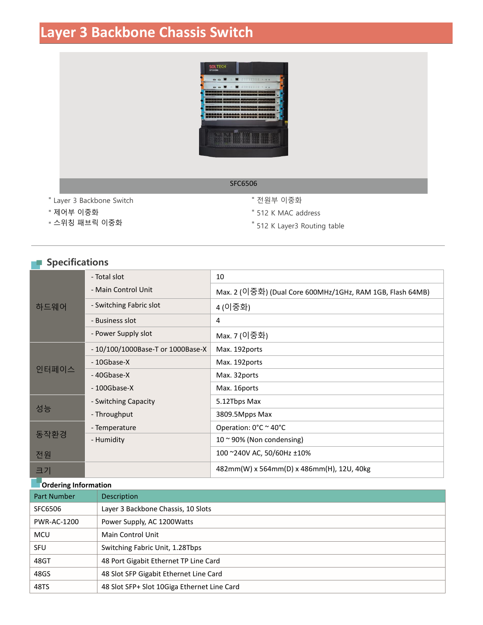# **Layer 3 Backbone Chassis Switch**



#### SFC6506

- Layer 3 Backbone Switch
- 제어부 이중화
- 스위칭 패브릭 이중화
- 전원부 이중화
- 512 K MAC address
- 512 K Layer3 Routing table

## **Specifications**

|       | - Total slot                      | 10                                                        |  |
|-------|-----------------------------------|-----------------------------------------------------------|--|
| 하드웨어  | - Main Control Unit               | Max. 2 (이중화) (Dual Core 600MHz/1GHz, RAM 1GB, Flash 64MB) |  |
|       | - Switching Fabric slot           | 4 (이중화)                                                   |  |
|       | - Business slot                   | 4                                                         |  |
|       | - Power Supply slot               | Max. 7 (이중화)                                              |  |
| 인터페이스 | - 10/100/1000Base-T or 1000Base-X | Max. 192ports                                             |  |
|       | - 10Gbase-X                       | Max. 192ports                                             |  |
|       | -40Gbase-X                        | Max. 32ports                                              |  |
|       | $-100Gbase-X$                     | Max. 16ports                                              |  |
| 성능    | - Switching Capacity              | 5.12Tbps Max                                              |  |
|       | - Throughput                      | 3809.5Mpps Max                                            |  |
| 동작환경  | - Temperature                     | Operation: 0°C ~ 40°C                                     |  |
|       | - Humidity                        | $10 \approx 90\%$ (Non condensing)                        |  |
| 전원    |                                   | 100 ~240V AC, 50/60Hz ±10%                                |  |
| 크기    |                                   | 482mm(W) x 564mm(D) x 486mm(H), 12U, 40kg                 |  |

#### **Ordering Information**

| <b>Part Number</b> | Description                                 |
|--------------------|---------------------------------------------|
| SFC6506            | Layer 3 Backbone Chassis, 10 Slots          |
| PWR-AC-1200        | Power Supply, AC 1200 Watts                 |
| <b>MCU</b>         | <b>Main Control Unit</b>                    |
| <b>SFU</b>         | Switching Fabric Unit, 1.28Tbps             |
| 48GT               | 48 Port Gigabit Ethernet TP Line Card       |
| 48GS               | 48 Slot SFP Gigabit Ethernet Line Card      |
| 48TS               | 48 Slot SFP+ Slot 10Giga Ethernet Line Card |